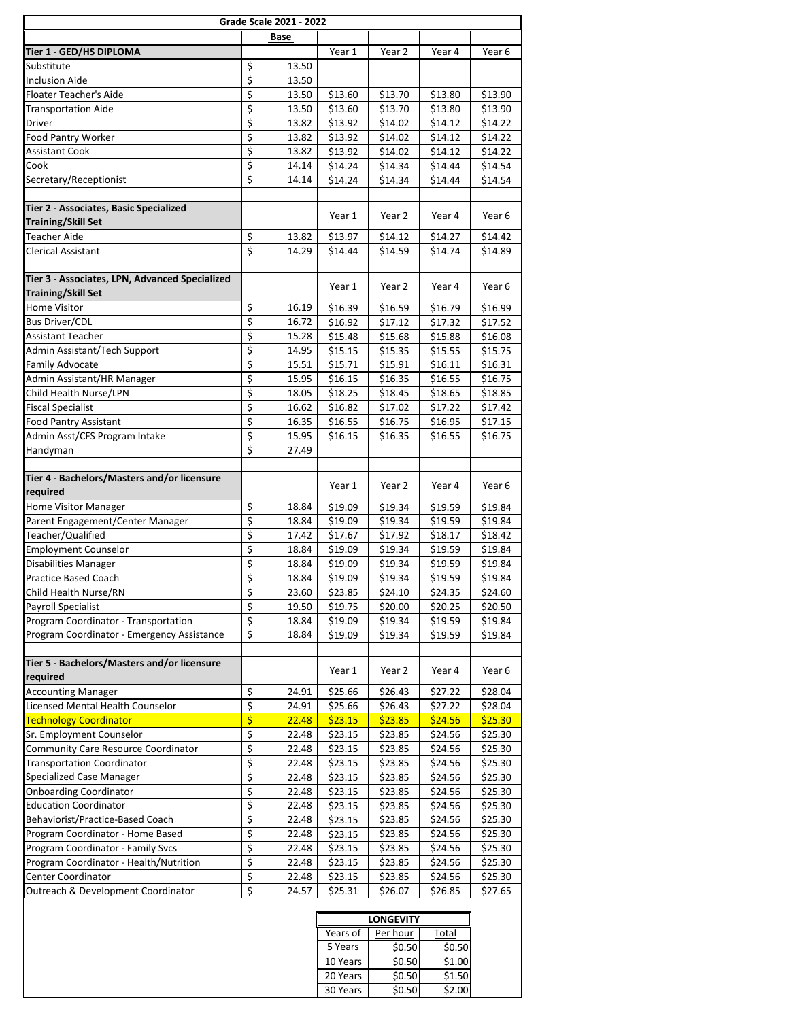| Grade Scale 2021 - 2022                        |                         |       |         |                  |         |         |
|------------------------------------------------|-------------------------|-------|---------|------------------|---------|---------|
|                                                |                         | Base  |         |                  |         |         |
| Tier 1 - GED/HS DIPLOMA                        |                         |       | Year 1  | Year 2           | Year 4  | Year 6  |
| Substitute                                     | \$                      | 13.50 |         |                  |         |         |
| <b>Inclusion Aide</b>                          | \$                      | 13.50 |         |                  |         |         |
| Floater Teacher's Aide                         | \$                      | 13.50 | \$13.60 | \$13.70          | \$13.80 | \$13.90 |
| <b>Transportation Aide</b>                     | \$                      | 13.50 | \$13.60 | \$13.70          | \$13.80 | \$13.90 |
| Driver                                         | $\overline{\xi}$        | 13.82 | \$13.92 | \$14.02          | \$14.12 | \$14.22 |
| Food Pantry Worker                             | \$                      | 13.82 | \$13.92 | \$14.02          | \$14.12 | \$14.22 |
| Assistant Cook                                 | \$                      | 13.82 | \$13.92 | \$14.02          | \$14.12 | \$14.22 |
| Cook                                           | \$                      | 14.14 | \$14.24 | \$14.34          | \$14.44 | \$14.54 |
| Secretary/Receptionist                         | \$                      | 14.14 | \$14.24 | \$14.34          | \$14.44 | \$14.54 |
|                                                |                         |       |         |                  |         |         |
| Tier 2 - Associates, Basic Specialized         |                         |       |         |                  |         |         |
| <b>Training/Skill Set</b>                      |                         |       | Year 1  | Year 2           | Year 4  | Year 6  |
| Teacher Aide                                   | \$                      | 13.82 | \$13.97 | \$14.12          | \$14.27 | \$14.42 |
| Clerical Assistant                             | \$                      | 14.29 | \$14.44 | \$14.59          | \$14.74 | \$14.89 |
|                                                |                         |       |         |                  |         |         |
| Tier 3 - Associates, LPN, Advanced Specialized |                         |       |         |                  |         |         |
| <b>Training/Skill Set</b>                      |                         |       | Year 1  | Year 2           | Year 4  | Year 6  |
| Home Visitor                                   | \$                      | 16.19 | \$16.39 | \$16.59          | \$16.79 | \$16.99 |
| <b>Bus Driver/CDL</b>                          | $\overline{\xi}$        | 16.72 | \$16.92 | \$17.12          | \$17.32 | \$17.52 |
| Assistant Teacher                              | \$                      | 15.28 | \$15.48 | \$15.68          | \$15.88 | \$16.08 |
| Admin Assistant/Tech Support                   | \$                      | 14.95 | \$15.15 | \$15.35          | \$15.55 | \$15.75 |
| <b>Family Advocate</b>                         | \$                      | 15.51 | \$15.71 | \$15.91          | \$16.11 | \$16.31 |
| Admin Assistant/HR Manager                     | \$                      | 15.95 | \$16.15 | \$16.35          | \$16.55 | \$16.75 |
| Child Health Nurse/LPN                         | \$                      | 18.05 | \$18.25 | \$18.45          | \$18.65 | \$18.85 |
| <b>Fiscal Specialist</b>                       | \$                      | 16.62 | \$16.82 | \$17.02          | \$17.22 | \$17.42 |
| Food Pantry Assistant                          | \$                      | 16.35 | \$16.55 | \$16.75          | \$16.95 | \$17.15 |
| Admin Asst/CFS Program Intake                  | $\overline{\xi}$        | 15.95 | \$16.15 | \$16.35          | \$16.55 | \$16.75 |
| Handyman                                       | \$                      | 27.49 |         |                  |         |         |
|                                                |                         |       |         |                  |         |         |
| Tier 4 - Bachelors/Masters and/or licensure    |                         |       |         |                  |         |         |
| required                                       |                         |       | Year 1  | Year 2           | Year 4  | Year 6  |
| Home Visitor Manager                           | \$                      | 18.84 | \$19.09 | \$19.34          | \$19.59 | \$19.84 |
| Parent Engagement/Center Manager               | \$                      | 18.84 | \$19.09 | \$19.34          | \$19.59 | \$19.84 |
| Teacher/Qualified                              | \$                      | 17.42 | \$17.67 | \$17.92          | \$18.17 | \$18.42 |
| <b>Employment Counselor</b>                    | \$                      | 18.84 | \$19.09 | \$19.34          | \$19.59 | \$19.84 |
| Disabilities Manager                           | \$                      | 18.84 | \$19.09 | \$19.34          | \$19.59 | \$19.84 |
| Practice Based Coach                           | \$                      | 18.84 | \$19.09 | \$19.34          | \$19.59 | \$19.84 |
| Child Health Nurse/RN                          | \$                      | 23.60 | \$23.85 | \$24.10          | \$24.35 | \$24.60 |
| Payroll Specialist                             | \$                      | 19.50 | \$19.75 | \$20.00          | \$20.25 | \$20.50 |
| Program Coordinator - Transportation           | \$                      | 18.84 | \$19.09 | \$19.34          | \$19.59 | \$19.84 |
| Program Coordinator - Emergency Assistance     | \$                      | 18.84 | \$19.09 | \$19.34          | \$19.59 | \$19.84 |
|                                                |                         |       |         |                  |         |         |
| Tier 5 - Bachelors/Masters and/or licensure    |                         |       | Year 1  | Year 2           |         |         |
| required                                       |                         |       |         |                  | Year 4  | Year 6  |
| <b>Accounting Manager</b>                      | \$                      | 24.91 | \$25.66 | \$26.43          | \$27.22 | \$28.04 |
| Licensed Mental Health Counselor               | \$                      | 24.91 | \$25.66 | \$26.43          | \$27.22 | \$28.04 |
| <b>Technology Coordinator</b>                  | \$                      | 22.48 | \$23.15 | \$23.85          | \$24.56 | \$25.30 |
| Sr. Employment Counselor                       | $\overline{\mathbf{z}}$ | 22.48 | \$23.15 | \$23.85          | \$24.56 | \$25.30 |
| Community Care Resource Coordinator            | \$                      | 22.48 | \$23.15 | \$23.85          | \$24.56 | \$25.30 |
| <b>Transportation Coordinator</b>              | \$                      | 22.48 | \$23.15 | \$23.85          | \$24.56 | \$25.30 |
| Specialized Case Manager                       | \$                      | 22.48 | \$23.15 | \$23.85          | \$24.56 | \$25.30 |
| <b>Onboarding Coordinator</b>                  | \$                      | 22.48 | \$23.15 | \$23.85          | \$24.56 | \$25.30 |
| <b>Education Coordinator</b>                   | \$                      | 22.48 | \$23.15 | \$23.85          | \$24.56 | \$25.30 |
| Behaviorist/Practice-Based Coach               | $\overline{\mathbf{z}}$ | 22.48 | \$23.15 | \$23.85          | \$24.56 | \$25.30 |
| Program Coordinator - Home Based               | \$                      | 22.48 | \$23.15 | \$23.85          | \$24.56 | \$25.30 |
| Program Coordinator - Family Svcs              | \$                      | 22.48 | \$23.15 | \$23.85          | \$24.56 | \$25.30 |
| Program Coordinator - Health/Nutrition         | \$                      | 22.48 | \$23.15 | \$23.85          | \$24.56 | \$25.30 |
| Center Coordinator                             | \$                      | 22.48 | \$23.15 | \$23.85          | \$24.56 | \$25.30 |
| Outreach & Development Coordinator             | $\boldsymbol{\xi}$      | 24.57 | \$25.31 | \$26.07          | \$26.85 | \$27.65 |
|                                                |                         |       |         |                  |         |         |
|                                                |                         |       |         | <b>LONGEVITY</b> |         |         |

|          | <b>LONGEVITY</b> |        |  |  |
|----------|------------------|--------|--|--|
| Years of | Per hour         | Total  |  |  |
| 5 Years  | \$0.50           | \$0.50 |  |  |
| 10 Years | \$0.50           | \$1.00 |  |  |
| 20 Years | \$0.50           | \$1.50 |  |  |
| 30 Years | \$0.50           | \$2.00 |  |  |